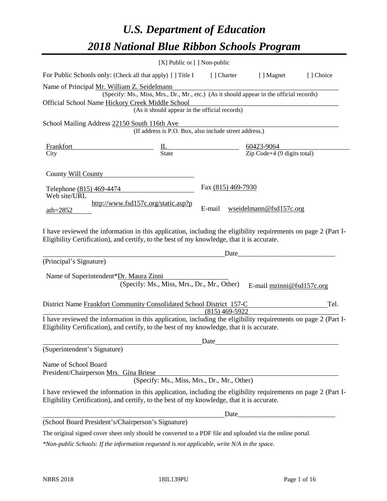# *U.S. Department of Education 2018 National Blue Ribbon Schools Program*

|                                                                                                                                                                                                              | [X] Public or [] Non-public                                                              |                                                         |                  |                                                     |           |
|--------------------------------------------------------------------------------------------------------------------------------------------------------------------------------------------------------------|------------------------------------------------------------------------------------------|---------------------------------------------------------|------------------|-----------------------------------------------------|-----------|
| For Public Schools only: (Check all that apply) [ ] Title I                                                                                                                                                  |                                                                                          |                                                         | [ ] Charter      | [ ] Magnet                                          | [] Choice |
| Name of Principal Mr. William Z. Seidelmann                                                                                                                                                                  |                                                                                          |                                                         |                  |                                                     |           |
| Official School Name Hickory Creek Middle School                                                                                                                                                             | (Specify: Ms., Miss, Mrs., Dr., Mr., etc.) (As it should appear in the official records) |                                                         |                  |                                                     |           |
|                                                                                                                                                                                                              | (As it should appear in the official records)                                            |                                                         |                  |                                                     |           |
| School Mailing Address 22150 South 116th Ave                                                                                                                                                                 |                                                                                          |                                                         |                  |                                                     |           |
|                                                                                                                                                                                                              | (If address is P.O. Box, also include street address.)                                   |                                                         |                  |                                                     |           |
| <b>Frankfort</b>                                                                                                                                                                                             | $\underline{\underline{\Pi}}$<br>State                                                   | $\frac{60423-9064}{\text{Zip Code}+4 (9 digits total)}$ |                  |                                                     |           |
| City                                                                                                                                                                                                         |                                                                                          |                                                         |                  |                                                     |           |
| County Will County                                                                                                                                                                                           |                                                                                          |                                                         |                  |                                                     |           |
| Telephone (815) 469-4474                                                                                                                                                                                     |                                                                                          | Fax (815) 469-7930                                      |                  |                                                     |           |
| Web site/URL                                                                                                                                                                                                 |                                                                                          |                                                         |                  |                                                     |           |
| ath= $2852$                                                                                                                                                                                                  | http://www.fsd157c.org/static.asp?p                                                      | E-mail                                                  |                  | wseidelmann@fsd157c.org                             |           |
|                                                                                                                                                                                                              |                                                                                          |                                                         |                  |                                                     |           |
| I have reviewed the information in this application, including the eligibility requirements on page 2 (Part I-                                                                                               |                                                                                          |                                                         |                  |                                                     |           |
| Eligibility Certification), and certify, to the best of my knowledge, that it is accurate.                                                                                                                   |                                                                                          |                                                         |                  |                                                     |           |
|                                                                                                                                                                                                              |                                                                                          |                                                         | Date             | <u> 1980 - Johann Barbara, martin din bashkar (</u> |           |
| (Principal's Signature)                                                                                                                                                                                      |                                                                                          |                                                         |                  |                                                     |           |
| Name of Superintendent*Dr. Maura Zinni                                                                                                                                                                       |                                                                                          |                                                         |                  |                                                     |           |
|                                                                                                                                                                                                              | (Specify: Ms., Miss, Mrs., Dr., Mr., Other)                                              |                                                         |                  | E-mail mzinni@fsd157c.org                           |           |
| District Name Frankfort Community Consolidated School District 157-C                                                                                                                                         |                                                                                          |                                                         |                  |                                                     | Tel.      |
|                                                                                                                                                                                                              |                                                                                          |                                                         | $(815)$ 469-5922 |                                                     |           |
| I have reviewed the information in this application, including the eligibility requirements on page 2 (Part I-<br>Eligibility Certification), and certify, to the best of my knowledge, that it is accurate. |                                                                                          |                                                         |                  |                                                     |           |
|                                                                                                                                                                                                              |                                                                                          | Date                                                    |                  |                                                     |           |
| (Superintendent's Signature)                                                                                                                                                                                 |                                                                                          |                                                         |                  |                                                     |           |
| Name of School Board                                                                                                                                                                                         |                                                                                          |                                                         |                  |                                                     |           |
| President/Chairperson Mrs. Gina Briese                                                                                                                                                                       | (Specify: Ms., Miss, Mrs., Dr., Mr., Other)                                              |                                                         |                  |                                                     |           |
| I have reviewed the information in this application, including the eligibility requirements on page 2 (Part I-                                                                                               |                                                                                          |                                                         |                  |                                                     |           |
| Eligibility Certification), and certify, to the best of my knowledge, that it is accurate.                                                                                                                   |                                                                                          |                                                         |                  |                                                     |           |
|                                                                                                                                                                                                              |                                                                                          |                                                         | Date_            |                                                     |           |
| (School Board President's/Chairperson's Signature)                                                                                                                                                           |                                                                                          |                                                         |                  |                                                     |           |
| The original signed cover sheet only should be converted to a PDF file and uploaded via the online portal.                                                                                                   |                                                                                          |                                                         |                  |                                                     |           |

*\*Non-public Schools: If the information requested is not applicable, write N/A in the space.*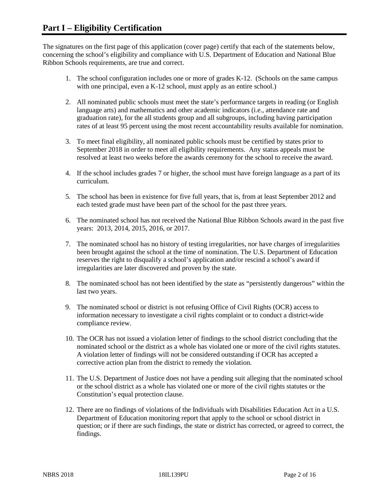The signatures on the first page of this application (cover page) certify that each of the statements below, concerning the school's eligibility and compliance with U.S. Department of Education and National Blue Ribbon Schools requirements, are true and correct.

- 1. The school configuration includes one or more of grades K-12. (Schools on the same campus with one principal, even a K-12 school, must apply as an entire school.)
- 2. All nominated public schools must meet the state's performance targets in reading (or English language arts) and mathematics and other academic indicators (i.e., attendance rate and graduation rate), for the all students group and all subgroups, including having participation rates of at least 95 percent using the most recent accountability results available for nomination.
- 3. To meet final eligibility, all nominated public schools must be certified by states prior to September 2018 in order to meet all eligibility requirements. Any status appeals must be resolved at least two weeks before the awards ceremony for the school to receive the award.
- 4. If the school includes grades 7 or higher, the school must have foreign language as a part of its curriculum.
- 5. The school has been in existence for five full years, that is, from at least September 2012 and each tested grade must have been part of the school for the past three years.
- 6. The nominated school has not received the National Blue Ribbon Schools award in the past five years: 2013, 2014, 2015, 2016, or 2017.
- 7. The nominated school has no history of testing irregularities, nor have charges of irregularities been brought against the school at the time of nomination. The U.S. Department of Education reserves the right to disqualify a school's application and/or rescind a school's award if irregularities are later discovered and proven by the state.
- 8. The nominated school has not been identified by the state as "persistently dangerous" within the last two years.
- 9. The nominated school or district is not refusing Office of Civil Rights (OCR) access to information necessary to investigate a civil rights complaint or to conduct a district-wide compliance review.
- 10. The OCR has not issued a violation letter of findings to the school district concluding that the nominated school or the district as a whole has violated one or more of the civil rights statutes. A violation letter of findings will not be considered outstanding if OCR has accepted a corrective action plan from the district to remedy the violation.
- 11. The U.S. Department of Justice does not have a pending suit alleging that the nominated school or the school district as a whole has violated one or more of the civil rights statutes or the Constitution's equal protection clause.
- 12. There are no findings of violations of the Individuals with Disabilities Education Act in a U.S. Department of Education monitoring report that apply to the school or school district in question; or if there are such findings, the state or district has corrected, or agreed to correct, the findings.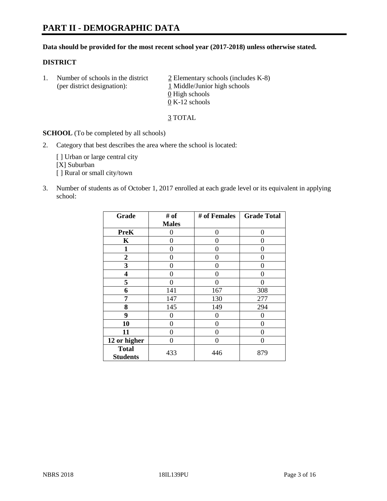#### **Data should be provided for the most recent school year (2017-2018) unless otherwise stated.**

#### **DISTRICT**

1. Number of schools in the district  $\frac{2}{2}$  Elementary schools (includes K-8) (per district designation): 1 Middle/Junior high schools 0 High schools 0 K-12 schools

3 TOTAL

**SCHOOL** (To be completed by all schools)

2. Category that best describes the area where the school is located:

[] Urban or large central city [X] Suburban [] Rural or small city/town

3. Number of students as of October 1, 2017 enrolled at each grade level or its equivalent in applying school:

| Grade                           | # of         | # of Females   | <b>Grade Total</b> |
|---------------------------------|--------------|----------------|--------------------|
|                                 | <b>Males</b> |                |                    |
| <b>PreK</b>                     | 0            | $\overline{0}$ | 0                  |
| K                               | 0            | 0              | 0                  |
| 1                               | 0            | 0              | 0                  |
| 2                               | 0            | 0              | 0                  |
| 3                               | 0            | 0              | 0                  |
| 4                               | 0            | 0              | 0                  |
| 5                               | 0            | 0              | 0                  |
| 6                               | 141          | 167            | 308                |
| 7                               | 147          | 130            | 277                |
| 8                               | 145          | 149            | 294                |
| 9                               | 0            | 0              | 0                  |
| 10                              | 0            | 0              | 0                  |
| 11                              | 0            | 0              | 0                  |
| 12 or higher                    | 0            | 0              | 0                  |
| <b>Total</b><br><b>Students</b> | 433          | 446            | 879                |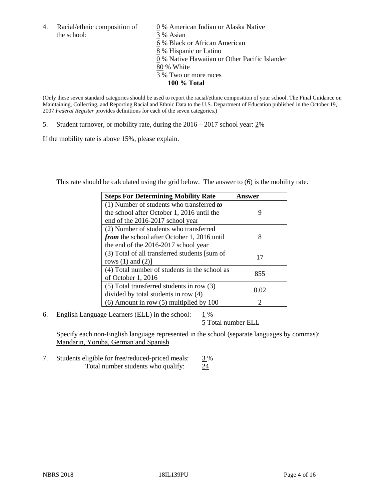the school: 3 % Asian

4. Racial/ethnic composition of  $\qquad 0\%$  American Indian or Alaska Native 6 % Black or African American 8 % Hispanic or Latino 0 % Native Hawaiian or Other Pacific Islander 80 % White 3 % Two or more races **100 % Total**

(Only these seven standard categories should be used to report the racial/ethnic composition of your school. The Final Guidance on Maintaining, Collecting, and Reporting Racial and Ethnic Data to the U.S. Department of Education published in the October 19, 2007 *Federal Register* provides definitions for each of the seven categories.)

5. Student turnover, or mobility rate, during the 2016 – 2017 school year: 2%

If the mobility rate is above 15%, please explain.

This rate should be calculated using the grid below. The answer to (6) is the mobility rate.

| <b>Steps For Determining Mobility Rate</b>         | Answer        |
|----------------------------------------------------|---------------|
| (1) Number of students who transferred to          |               |
| the school after October 1, 2016 until the         | 9             |
| end of the 2016-2017 school year                   |               |
| (2) Number of students who transferred             |               |
| <i>from</i> the school after October 1, 2016 until | 8             |
| the end of the 2016-2017 school year               |               |
| (3) Total of all transferred students [sum of      |               |
| rows $(1)$ and $(2)$ ]                             | 17            |
| (4) Total number of students in the school as      |               |
| of October 1, 2016                                 | 855           |
| $(5)$ Total transferred students in row $(3)$      |               |
| divided by total students in row (4)               | 0.02          |
| $(6)$ Amount in row $(5)$ multiplied by 100        | $\mathcal{D}$ |

6. English Language Learners (ELL) in the school:  $1\%$ 

5 Total number ELL

Specify each non-English language represented in the school (separate languages by commas): Mandarin, Yoruba, German and Spanish

7. Students eligible for free/reduced-priced meals: 3 % Total number students who qualify: 24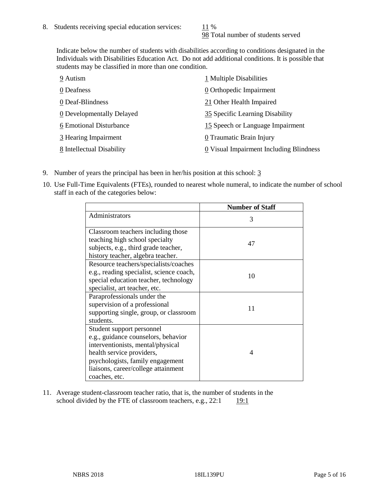98 Total number of students served

Indicate below the number of students with disabilities according to conditions designated in the Individuals with Disabilities Education Act. Do not add additional conditions. It is possible that students may be classified in more than one condition.

| 9 Autism                  | 1 Multiple Disabilities                 |
|---------------------------|-----------------------------------------|
| 0 Deafness                | 0 Orthopedic Impairment                 |
| 0 Deaf-Blindness          | 21 Other Health Impaired                |
| 0 Developmentally Delayed | 35 Specific Learning Disability         |
| 6 Emotional Disturbance   | 15 Speech or Language Impairment        |
| 3 Hearing Impairment      | 0 Traumatic Brain Injury                |
| 8 Intellectual Disability | 0 Visual Impairment Including Blindness |

- 9. Number of years the principal has been in her/his position at this school: 3
- 10. Use Full-Time Equivalents (FTEs), rounded to nearest whole numeral, to indicate the number of school staff in each of the categories below:

|                                                                                                                                                                                                                                | <b>Number of Staff</b> |
|--------------------------------------------------------------------------------------------------------------------------------------------------------------------------------------------------------------------------------|------------------------|
| Administrators                                                                                                                                                                                                                 | 3                      |
| Classroom teachers including those<br>teaching high school specialty<br>subjects, e.g., third grade teacher,<br>history teacher, algebra teacher.                                                                              | 47                     |
| Resource teachers/specialists/coaches<br>e.g., reading specialist, science coach,<br>special education teacher, technology<br>specialist, art teacher, etc.                                                                    | 10                     |
| Paraprofessionals under the<br>supervision of a professional<br>supporting single, group, or classroom<br>students.                                                                                                            | 11                     |
| Student support personnel<br>e.g., guidance counselors, behavior<br>interventionists, mental/physical<br>health service providers,<br>psychologists, family engagement<br>liaisons, career/college attainment<br>coaches, etc. | 4                      |

11. Average student-classroom teacher ratio, that is, the number of students in the school divided by the FTE of classroom teachers, e.g.,  $22:1$  19:1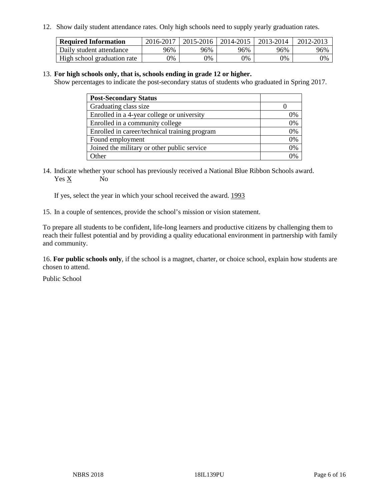12. Show daily student attendance rates. Only high schools need to supply yearly graduation rates.

| <b>Required Information</b> | 2016-2017 | $2015 - 2016$ | 2014-2015 | 2013-2014 | 2012-2013 |
|-----------------------------|-----------|---------------|-----------|-----------|-----------|
| Daily student attendance    | 96%       | 96%           | 96%       | 96%       | 96%       |
| High school graduation rate | 0%        | 0%            | 0%        | 9%        | 0%        |

#### 13. **For high schools only, that is, schools ending in grade 12 or higher.**

Show percentages to indicate the post-secondary status of students who graduated in Spring 2017.

| <b>Post-Secondary Status</b>                  |              |
|-----------------------------------------------|--------------|
| Graduating class size                         |              |
| Enrolled in a 4-year college or university    | 0%           |
| Enrolled in a community college               | 0%           |
| Enrolled in career/technical training program | 0%           |
| Found employment                              | 0%           |
| Joined the military or other public service   | 0%           |
| Other                                         | $\gamma_{0}$ |

14. Indicate whether your school has previously received a National Blue Ribbon Schools award. Yes X No

If yes, select the year in which your school received the award. 1993

15. In a couple of sentences, provide the school's mission or vision statement.

To prepare all students to be confident, life-long learners and productive citizens by challenging them to reach their fullest potential and by providing a quality educational environment in partnership with family and community.

16. **For public schools only**, if the school is a magnet, charter, or choice school, explain how students are chosen to attend.

Public School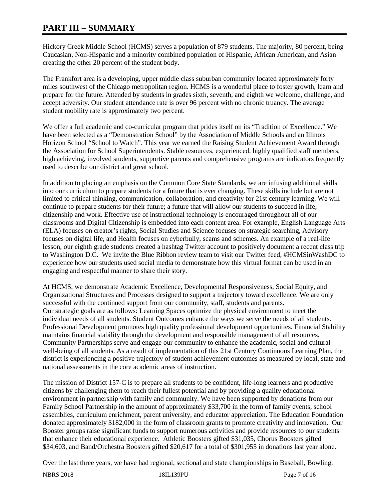# **PART III – SUMMARY**

Hickory Creek Middle School (HCMS) serves a population of 879 students. The majority, 80 percent, being Caucasian, Non-Hispanic and a minority combined population of Hispanic, African American, and Asian creating the other 20 percent of the student body.

The Frankfort area is a developing, upper middle class suburban community located approximately forty miles southwest of the Chicago metropolitan region. HCMS is a wonderful place to foster growth, learn and prepare for the future. Attended by students in grades sixth, seventh, and eighth we welcome, challenge, and accept adversity. Our student attendance rate is over 96 percent with no chronic truancy. The average student mobility rate is approximately two percent.

We offer a full academic and co-curricular program that prides itself on its "Tradition of Excellence." We have been selected as a "Demonstration School" by the Association of Middle Schools and an Illinois Horizon School "School to Watch". This year we earned the Raising Student Achievement Award through the Association for School Superintendents. Stable resources, experienced, highly qualified staff members, high achieving, involved students, supportive parents and comprehensive programs are indicators frequently used to describe our district and great school.

In addition to placing an emphasis on the Common Core State Standards, we are infusing additional skills into our curriculum to prepare students for a future that is ever changing. These skills include but are not limited to critical thinking, communication, collaboration, and creativity for 21st century learning. We will continue to prepare students for their future; a future that will allow our students to succeed in life, citizenship and work. Effective use of instructional technology is encouraged throughout all of our classrooms and Digital Citizenship is embedded into each content area. For example, English Language Arts (ELA) focuses on creator's rights, Social Studies and Science focuses on strategic searching, Advisory focuses on digital life, and Health focuses on cyberbully, scams and schemes. An example of a real-life lesson, our eighth grade students created a hashtag Twitter account to positively document a recent class trip to Washington D.C. We invite the Blue Ribbon review team to visit our Twitter feed, #HCMSinWashDC to experience how our students used social media to demonstrate how this virtual format can be used in an engaging and respectful manner to share their story.

At HCMS, we demonstrate Academic Excellence, Developmental Responsiveness, Social Equity, and Organizational Structures and Processes designed to support a trajectory toward excellence. We are only successful with the continued support from our community, staff, students and parents. Our strategic goals are as follows: Learning Spaces optimize the physical environment to meet the individual needs of all students. Student Outcomes enhance the ways we serve the needs of all students. Professional Development promotes high quality professional development opportunities. Financial Stability maintains financial stability through the development and responsible management of all resources. Community Partnerships serve and engage our community to enhance the academic, social and cultural well-being of all students. As a result of implementation of this 21st Century Continuous Learning Plan, the district is experiencing a positive trajectory of student achievement outcomes as measured by local, state and national assessments in the core academic areas of instruction.

The mission of District 157-C is to prepare all students to be confident, life-long learners and productive citizens by challenging them to reach their fullest potential and by providing a quality educational environment in partnership with family and community. We have been supported by donations from our Family School Partnership in the amount of approximately \$33,700 in the form of family events, school assemblies, curriculum enrichment, parent university, and educator appreciation. The Education Foundation donated approximately \$182,000 in the form of classroom grants to promote creativity and innovation. Our Booster groups raise significant funds to support numerous activities and provide resources to our students that enhance their educational experience. Athletic Boosters gifted \$31,035, Chorus Boosters gifted \$34,603, and Band/Orchestra Boosters gifted \$20,617 for a total of \$301,955 in donations last year alone.

Over the last three years, we have had regional, sectional and state championships in Baseball, Bowling,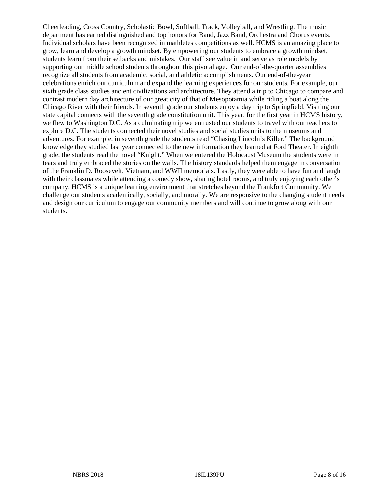Cheerleading, Cross Country, Scholastic Bowl, Softball, Track, Volleyball, and Wrestling. The music department has earned distinguished and top honors for Band, Jazz Band, Orchestra and Chorus events. Individual scholars have been recognized in mathletes competitions as well. HCMS is an amazing place to grow, learn and develop a growth mindset. By empowering our students to embrace a growth mindset, students learn from their setbacks and mistakes. Our staff see value in and serve as role models by supporting our middle school students throughout this pivotal age. Our end-of-the-quarter assemblies recognize all students from academic, social, and athletic accomplishments. Our end-of-the-year celebrations enrich our curriculum and expand the learning experiences for our students. For example, our sixth grade class studies ancient civilizations and architecture. They attend a trip to Chicago to compare and contrast modern day architecture of our great city of that of Mesopotamia while riding a boat along the Chicago River with their friends. In seventh grade our students enjoy a day trip to Springfield. Visiting our state capital connects with the seventh grade constitution unit. This year, for the first year in HCMS history, we flew to Washington D.C. As a culminating trip we entrusted our students to travel with our teachers to explore D.C. The students connected their novel studies and social studies units to the museums and adventures. For example, in seventh grade the students read "Chasing Lincoln's Killer." The background knowledge they studied last year connected to the new information they learned at Ford Theater. In eighth grade, the students read the novel "Knight." When we entered the Holocaust Museum the students were in tears and truly embraced the stories on the walls. The history standards helped them engage in conversation of the Franklin D. Roosevelt, Vietnam, and WWII memorials. Lastly, they were able to have fun and laugh with their classmates while attending a comedy show, sharing hotel rooms, and truly enjoying each other's company. HCMS is a unique learning environment that stretches beyond the Frankfort Community. We challenge our students academically, socially, and morally. We are responsive to the changing student needs and design our curriculum to engage our community members and will continue to grow along with our students.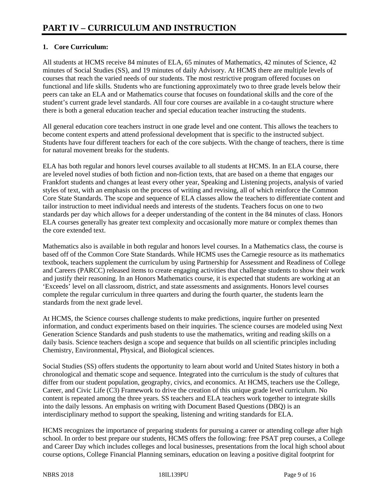# **1. Core Curriculum:**

All students at HCMS receive 84 minutes of ELA, 65 minutes of Mathematics, 42 minutes of Science, 42 minutes of Social Studies (SS), and 19 minutes of daily Advisory. At HCMS there are multiple levels of courses that reach the varied needs of our students. The most restrictive program offered focuses on functional and life skills. Students who are functioning approximately two to three grade levels below their peers can take an ELA and or Mathematics course that focuses on foundational skills and the core of the student's current grade level standards. All four core courses are available in a co-taught structure where there is both a general education teacher and special education teacher instructing the students.

All general education core teachers instruct in one grade level and one content. This allows the teachers to become content experts and attend professional development that is specific to the instructed subject. Students have four different teachers for each of the core subjects. With the change of teachers, there is time for natural movement breaks for the students.

ELA has both regular and honors level courses available to all students at HCMS. In an ELA course, there are leveled novel studies of both fiction and non-fiction texts, that are based on a theme that engages our Frankfort students and changes at least every other year, Speaking and Listening projects, analysis of varied styles of text, with an emphasis on the process of writing and revising, all of which reinforce the Common Core State Standards. The scope and sequence of ELA classes allow the teachers to differentiate content and tailor instruction to meet individual needs and interests of the students. Teachers focus on one to two standards per day which allows for a deeper understanding of the content in the 84 minutes of class. Honors ELA courses generally has greater text complexity and occasionally more mature or complex themes than the core extended text.

Mathematics also is available in both regular and honors level courses. In a Mathematics class, the course is based off of the Common Core State Standards. While HCMS uses the Carnegie resource as its mathematics textbook, teachers supplement the curriculum by using Partnership for Assessment and Readiness of College and Careers (PARCC) released items to create engaging activities that challenge students to show their work and justify their reasoning. In an Honors Mathematics course, it is expected that students are working at an 'Exceeds' level on all classroom, district, and state assessments and assignments. Honors level courses complete the regular curriculum in three quarters and during the fourth quarter, the students learn the standards from the next grade level.

At HCMS, the Science courses challenge students to make predictions, inquire further on presented information, and conduct experiments based on their inquiries. The science courses are modeled using Next Generation Science Standards and push students to use the mathematics, writing and reading skills on a daily basis. Science teachers design a scope and sequence that builds on all scientific principles including Chemistry, Environmental, Physical, and Biological sciences.

Social Studies (SS) offers students the opportunity to learn about world and United States history in both a chronological and thematic scope and sequence. Integrated into the curriculum is the study of cultures that differ from our student population, geography, civics, and economics. At HCMS, teachers use the College, Career, and Civic Life (C3) Framework to drive the creation of this unique grade level curriculum. No content is repeated among the three years. SS teachers and ELA teachers work together to integrate skills into the daily lessons. An emphasis on writing with Document Based Questions (DBQ) is an interdisciplinary method to support the speaking, listening and writing standards for ELA.

HCMS recognizes the importance of preparing students for pursuing a career or attending college after high school. In order to best prepare our students, HCMS offers the following: free PSAT prep courses, a College and Career Day which includes colleges and local businesses, presentations from the local high school about course options, College Financial Planning seminars, education on leaving a positive digital footprint for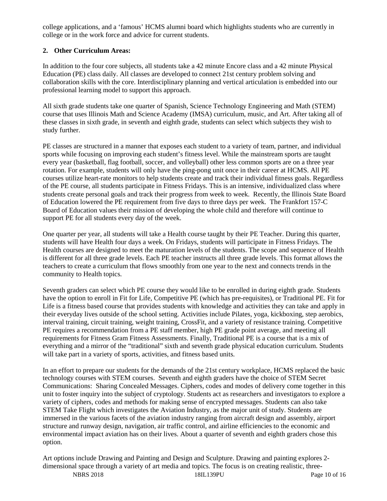college applications, and a 'famous' HCMS alumni board which highlights students who are currently in college or in the work force and advice for current students.

# **2. Other Curriculum Areas:**

In addition to the four core subjects, all students take a 42 minute Encore class and a 42 minute Physical Education (PE) class daily. All classes are developed to connect 21st century problem solving and collaboration skills with the core. Interdisciplinary planning and vertical articulation is embedded into our professional learning model to support this approach.

All sixth grade students take one quarter of Spanish, Science Technology Engineering and Math (STEM) course that uses Illinois Math and Science Academy (IMSA) curriculum, music, and Art. After taking all of these classes in sixth grade, in seventh and eighth grade, students can select which subjects they wish to study further.

PE classes are structured in a manner that exposes each student to a variety of team, partner, and individual sports while focusing on improving each student's fitness level. While the mainstream sports are taught every year (basketball, flag football, soccer, and volleyball) other less common sports are on a three year rotation. For example, students will only have the ping-pong unit once in their career at HCMS. All PE courses utilize heart-rate monitors to help students create and track their individual fitness goals. Regardless of the PE course, all students participate in Fitness Fridays. This is an intensive, individualized class where students create personal goals and track their progress from week to week. Recently, the Illinois State Board of Education lowered the PE requirement from five days to three days per week. The Frankfort 157-C Board of Education values their mission of developing the whole child and therefore will continue to support PE for all students every day of the week.

One quarter per year, all students will take a Health course taught by their PE Teacher. During this quarter, students will have Health four days a week. On Fridays, students will participate in Fitness Fridays. The Health courses are designed to meet the maturation levels of the students. The scope and sequence of Health is different for all three grade levels. Each PE teacher instructs all three grade levels. This format allows the teachers to create a curriculum that flows smoothly from one year to the next and connects trends in the community to Health topics.

Seventh graders can select which PE course they would like to be enrolled in during eighth grade. Students have the option to enroll in Fit for Life, Competitive PE (which has pre-requisites), or Traditional PE. Fit for Life is a fitness based course that provides students with knowledge and activities they can take and apply in their everyday lives outside of the school setting. Activities include Pilates, yoga, kickboxing, step aerobics, interval training, circuit training, weight training, CrossFit, and a variety of resistance training. Competitive PE requires a recommendation from a PE staff member, high PE grade point average, and meeting all requirements for Fitness Gram Fitness Assessments. Finally, Traditional PE is a course that is a mix of everything and a mirror of the "traditional" sixth and seventh grade physical education curriculum. Students will take part in a variety of sports, activities, and fitness based units.

In an effort to prepare our students for the demands of the 21st century workplace, HCMS replaced the basic technology courses with STEM courses. Seventh and eighth graders have the choice of STEM Secret Communications: Sharing Concealed Messages. Ciphers, codes and modes of delivery come together in this unit to foster inquiry into the subject of cryptology. Students act as researchers and investigators to explore a variety of ciphers, codes and methods for making sense of encrypted messages. Students can also take STEM Take Flight which investigates the Aviation Industry, as the major unit of study. Students are immersed in the various facets of the aviation industry ranging from aircraft design and assembly, airport structure and runway design, navigation, air traffic control, and airline efficiencies to the economic and environmental impact aviation has on their lives. About a quarter of seventh and eighth graders chose this option.

Art options include Drawing and Painting and Design and Sculpture. Drawing and painting explores 2 dimensional space through a variety of art media and topics. The focus is on creating realistic, three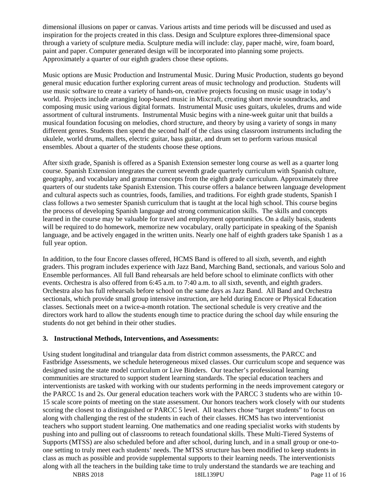dimensional illusions on paper or canvas. Various artists and time periods will be discussed and used as inspiration for the projects created in this class. Design and Sculpture explores three-dimensional space through a variety of sculpture media. Sculpture media will include: clay, paper machè, wire, foam board, paint and paper. Computer generated design will be incorporated into planning some projects. Approximately a quarter of our eighth graders chose these options.

Music options are Music Production and Instrumental Music. During Music Production, students go beyond general music education further exploring current areas of music technology and production. Students will use music software to create a variety of hands-on, creative projects focusing on music usage in today's world. Projects include arranging loop-based music in Mixcraft, creating short movie soundtracks, and composing music using various digital formats. Instrumental Music uses guitars, ukuleles, drums and wide assortment of cultural instruments. Instrumental Music begins with a nine-week guitar unit that builds a musical foundation focusing on melodies, chord structure, and theory by using a variety of songs in many different genres. Students then spend the second half of the class using classroom instruments including the ukulele, world drums, mallets, electric guitar, bass guitar, and drum set to perform various musical ensembles. About a quarter of the students choose these options.

After sixth grade, Spanish is offered as a Spanish Extension semester long course as well as a quarter long course. Spanish Extension integrates the current seventh grade quarterly curriculum with Spanish culture, geography, and vocabulary and grammar concepts from the eighth grade curriculum. Approximately three quarters of our students take Spanish Extension. This course offers a balance between language development and cultural aspects such as countries, foods, families, and traditions. For eighth grade students, Spanish I class follows a two semester Spanish curriculum that is taught at the local high school. This course begins the process of developing Spanish language and strong communication skills. The skills and concepts learned in the course may be valuable for travel and employment opportunities. On a daily basis, students will be required to do homework, memorize new vocabulary, orally participate in speaking of the Spanish language, and be actively engaged in the written units. Nearly one half of eighth graders take Spanish 1 as a full year option.

In addition, to the four Encore classes offered, HCMS Band is offered to all sixth, seventh, and eighth graders. This program includes experience with Jazz Band, Marching Band, sectionals, and various Solo and Ensemble performances. All full Band rehearsals are held before school to eliminate conflicts with other events. Orchestra is also offered from 6:45 a.m. to 7:40 a.m. to all sixth, seventh, and eighth graders. Orchestra also has full rehearsals before school on the same days as Jazz Band. All Band and Orchestra sectionals, which provide small group intensive instruction, are held during Encore or Physical Education classes. Sectionals meet on a twice-a-month rotation. The sectional schedule is very creative and the directors work hard to allow the students enough time to practice during the school day while ensuring the students do not get behind in their other studies.

#### **3. Instructional Methods, Interventions, and Assessments:**

Using student longitudinal and triangular data from district common assessments, the PARCC and Fastbridge Assessments, we schedule heterogeneous mixed classes. Our curriculum scope and sequence was designed using the state model curriculum or Live Binders. Our teacher's professional learning communities are structured to support student learning standards. The special education teachers and interventionists are tasked with working with our students performing in the needs improvement category or the PARCC 1s and 2s. Our general education teachers work with the PARCC 3 students who are within 10- 15 scale score points of meeting on the state assessment. Our honors teachers work closely with our students scoring the closest to a distinguished or PARCC 5 level. All teachers chose "target students" to focus on along with challenging the rest of the students in each of their classes. HCMS has two interventionist teachers who support student learning. One mathematics and one reading specialist works with students by pushing into and pulling out of classrooms to reteach foundational skills. These Multi-Tiered Systems of Supports (MTSS) are also scheduled before and after school, during lunch, and in a small group or one-toone setting to truly meet each students' needs. The MTSS structure has been modified to keep students in class as much as possible and provide supplemental supports to their learning needs. The interventionists along with all the teachers in the building take time to truly understand the standards we are teaching and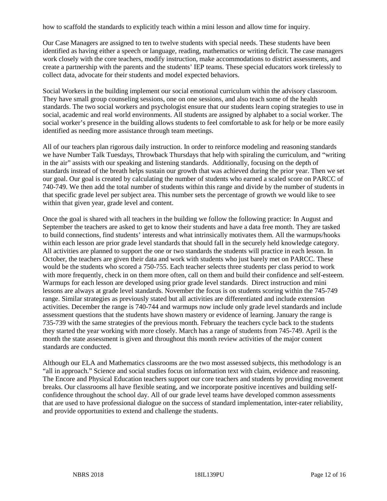how to scaffold the standards to explicitly teach within a mini lesson and allow time for inquiry.

Our Case Managers are assigned to ten to twelve students with special needs. These students have been identified as having either a speech or language, reading, mathematics or writing deficit. The case managers work closely with the core teachers, modify instruction, make accommodations to district assessments, and create a partnership with the parents and the students' IEP teams. These special educators work tirelessly to collect data, advocate for their students and model expected behaviors.

Social Workers in the building implement our social emotional curriculum within the advisory classroom. They have small group counseling sessions, one on one sessions, and also teach some of the health standards. The two social workers and psychologist ensure that our students learn coping strategies to use in social, academic and real world environments. All students are assigned by alphabet to a social worker. The social worker's presence in the building allows students to feel comfortable to ask for help or be more easily identified as needing more assistance through team meetings.

All of our teachers plan rigorous daily instruction. In order to reinforce modeling and reasoning standards we have Number Talk Tuesdays, Throwback Thursdays that help with spiraling the curriculum, and "writing in the air" assists with our speaking and listening standards. Additionally, focusing on the depth of standards instead of the breath helps sustain our growth that was achieved during the prior year. Then we set our goal. Our goal is created by calculating the number of students who earned a scaled score on PARCC of 740-749. We then add the total number of students within this range and divide by the number of students in that specific grade level per subject area. This number sets the percentage of growth we would like to see within that given year, grade level and content.

Once the goal is shared with all teachers in the building we follow the following practice: In August and September the teachers are asked to get to know their students and have a data free month. They are tasked to build connections, find students' interests and what intrinsically motivates them. All the warmups/hooks within each lesson are prior grade level standards that should fall in the securely held knowledge category. All activities are planned to support the one or two standards the students will practice in each lesson. In October, the teachers are given their data and work with students who just barely met on PARCC. These would be the students who scored a 750-755. Each teacher selects three students per class period to work with more frequently, check in on them more often, call on them and build their confidence and self-esteem. Warmups for each lesson are developed using prior grade level standards. Direct instruction and mini lessons are always at grade level standards. November the focus is on students scoring within the 745-749 range. Similar strategies as previously stated but all activities are differentiated and include extension activities. December the range is 740-744 and warmups now include only grade level standards and include assessment questions that the students have shown mastery or evidence of learning. January the range is 735-739 with the same strategies of the previous month. February the teachers cycle back to the students they started the year working with more closely. March has a range of students from 745-749. April is the month the state assessment is given and throughout this month review activities of the major content standards are conducted.

Although our ELA and Mathematics classrooms are the two most assessed subjects, this methodology is an "all in approach." Science and social studies focus on information text with claim, evidence and reasoning. The Encore and Physical Education teachers support our core teachers and students by providing movement breaks. Our classrooms all have flexible seating, and we incorporate positive incentives and building selfconfidence throughout the school day. All of our grade level teams have developed common assessments that are used to have professional dialogue on the success of standard implementation, inter-rater reliability, and provide opportunities to extend and challenge the students.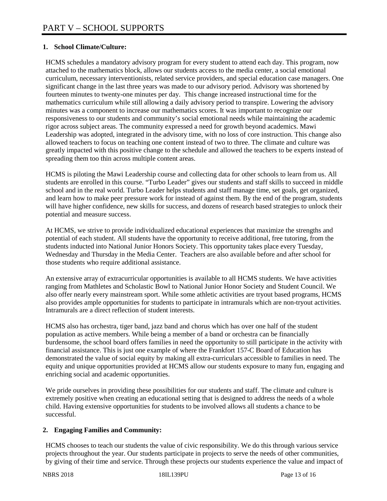# **1. School Climate/Culture:**

HCMS schedules a mandatory advisory program for every student to attend each day. This program, now attached to the mathematics block, allows our students access to the media center, a social emotional curriculum, necessary interventionists, related service providers, and special education case managers. One significant change in the last three years was made to our advisory period. Advisory was shortened by fourteen minutes to twenty-one minutes per day. This change increased instructional time for the mathematics curriculum while still allowing a daily advisory period to transpire. Lowering the advisory minutes was a component to increase our mathematics scores. It was important to recognize our responsiveness to our students and community's social emotional needs while maintaining the academic rigor across subject areas. The community expressed a need for growth beyond academics. Mawi Leadership was adopted, integrated in the advisory time, with no loss of core instruction. This change also allowed teachers to focus on teaching one content instead of two to three. The climate and culture was greatly impacted with this positive change to the schedule and allowed the teachers to be experts instead of spreading them too thin across multiple content areas.

HCMS is piloting the Mawi Leadership course and collecting data for other schools to learn from us. All students are enrolled in this course. "Turbo Leader" gives our students and staff skills to succeed in middle school and in the real world. Turbo Leader helps students and staff manage time, set goals, get organized, and learn how to make peer pressure work for instead of against them. By the end of the program, students will have higher confidence, new skills for success, and dozens of research based strategies to unlock their potential and measure success.

At HCMS, we strive to provide individualized educational experiences that maximize the strengths and potential of each student. All students have the opportunity to receive additional, free tutoring, from the students inducted into National Junior Honors Society. This opportunity takes place every Tuesday, Wednesday and Thursday in the Media Center. Teachers are also available before and after school for those students who require additional assistance.

An extensive array of extracurricular opportunities is available to all HCMS students. We have activities ranging from Mathletes and Scholastic Bowl to National Junior Honor Society and Student Council. We also offer nearly every mainstream sport. While some athletic activities are tryout based programs, HCMS also provides ample opportunities for students to participate in intramurals which are non-tryout activities. Intramurals are a direct reflection of student interests.

HCMS also has orchestra, tiger band, jazz band and chorus which has over one half of the student population as active members. While being a member of a band or orchestra can be financially burdensome, the school board offers families in need the opportunity to still participate in the activity with financial assistance. This is just one example of where the Frankfort 157-C Board of Education has demonstrated the value of social equity by making all extra-curriculars accessible to families in need. The equity and unique opportunities provided at HCMS allow our students exposure to many fun, engaging and enriching social and academic opportunities.

We pride ourselves in providing these possibilities for our students and staff. The climate and culture is extremely positive when creating an educational setting that is designed to address the needs of a whole child. Having extensive opportunities for students to be involved allows all students a chance to be successful.

## **2. Engaging Families and Community:**

HCMS chooses to teach our students the value of civic responsibility. We do this through various service projects throughout the year. Our students participate in projects to serve the needs of other communities, by giving of their time and service. Through these projects our students experience the value and impact of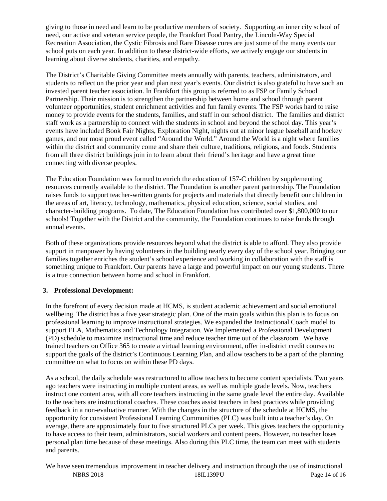giving to those in need and learn to be productive members of society. Supporting an inner city school of need, our active and veteran service people, the Frankfort Food Pantry, the Lincoln-Way Special Recreation Association, the Cystic Fibrosis and Rare Disease cures are just some of the many events our school puts on each year. In addition to these district-wide efforts, we actively engage our students in learning about diverse students, charities, and empathy.

The District's Charitable Giving Committee meets annually with parents, teachers, administrators, and students to reflect on the prior year and plan next year's events. Our district is also grateful to have such an invested parent teacher association. In Frankfort this group is referred to as FSP or Family School Partnership. Their mission is to strengthen the partnership between home and school through parent volunteer opportunities, student enrichment activities and fun family events. The FSP works hard to raise money to provide events for the students, families, and staff in our school district. The families and district staff work as a partnership to connect with the students in school and beyond the school day. This year's events have included Book Fair Nights, Exploration Night, nights out at minor league baseball and hockey games, and our most proud event called "Around the World." Around the World is a night where families within the district and community come and share their culture, traditions, religions, and foods. Students from all three district buildings join in to learn about their friend's heritage and have a great time connecting with diverse peoples.

The Education Foundation was formed to enrich the education of 157-C children by supplementing resources currently available to the district. The Foundation is another parent partnership. The Foundation raises funds to support teacher-written grants for projects and materials that directly benefit our children in the areas of art, literacy, technology, mathematics, physical education, science, social studies, and character-building programs. To date, The Education Foundation has contributed over \$1,800,000 to our schools! Together with the District and the community, the Foundation continues to raise funds through annual events.

Both of these organizations provide resources beyond what the district is able to afford. They also provide support in manpower by having volunteers in the building nearly every day of the school year. Bringing our families together enriches the student's school experience and working in collaboration with the staff is something unique to Frankfort. Our parents have a large and powerful impact on our young students. There is a true connection between home and school in Frankfort.

## **3. Professional Development:**

In the forefront of every decision made at HCMS, is student academic achievement and social emotional wellbeing. The district has a five year strategic plan. One of the main goals within this plan is to focus on professional learning to improve instructional strategies. We expanded the Instructional Coach model to support ELA, Mathematics and Technology Integration. We Implemented a Professional Development (PD) schedule to maximize instructional time and reduce teacher time out of the classroom. We have trained teachers on Office 365 to create a virtual learning environment, offer in-district credit courses to support the goals of the district's Continuous Learning Plan, and allow teachers to be a part of the planning committee on what to focus on within these PD days.

As a school, the daily schedule was restructured to allow teachers to become content specialists. Two years ago teachers were instructing in multiple content areas, as well as multiple grade levels. Now, teachers instruct one content area, with all core teachers instructing in the same grade level the entire day. Available to the teachers are instructional coaches. These coaches assist teachers in best practices while providing feedback in a non-evaluative manner. With the changes in the structure of the schedule at HCMS, the opportunity for consistent Professional Learning Communities (PLC) was built into a teacher's day. On average, there are approximately four to five structured PLCs per week. This gives teachers the opportunity to have access to their team, administrators, social workers and content peers. However, no teacher loses personal plan time because of these meetings. Also during this PLC time, the team can meet with students and parents.

NBRS 2018 18IL139PU Page 14 of 16 We have seen tremendous improvement in teacher delivery and instruction through the use of instructional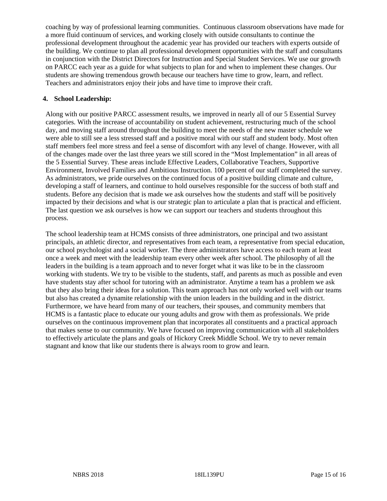coaching by way of professional learning communities. Continuous classroom observations have made for a more fluid continuum of services, and working closely with outside consultants to continue the professional development throughout the academic year has provided our teachers with experts outside of the building. We continue to plan all professional development opportunities with the staff and consultants in conjunction with the District Directors for Instruction and Special Student Services. We use our growth on PARCC each year as a guide for what subjects to plan for and when to implement these changes. Our students are showing tremendous growth because our teachers have time to grow, learn, and reflect. Teachers and administrators enjoy their jobs and have time to improve their craft.

#### **4. School Leadership:**

Along with our positive PARCC assessment results, we improved in nearly all of our 5 Essential Survey categories. With the increase of accountability on student achievement, restructuring much of the school day, and moving staff around throughout the building to meet the needs of the new master schedule we were able to still see a less stressed staff and a positive moral with our staff and student body. Most often staff members feel more stress and feel a sense of discomfort with any level of change. However, with all of the changes made over the last three years we still scored in the "Most Implementation" in all areas of the 5 Essential Survey. These areas include Effective Leaders, Collaborative Teachers, Supportive Environment, Involved Families and Ambitious Instruction. 100 percent of our staff completed the survey. As administrators, we pride ourselves on the continued focus of a positive building climate and culture, developing a staff of learners, and continue to hold ourselves responsible for the success of both staff and students. Before any decision that is made we ask ourselves how the students and staff will be positively impacted by their decisions and what is our strategic plan to articulate a plan that is practical and efficient. The last question we ask ourselves is how we can support our teachers and students throughout this process.

The school leadership team at HCMS consists of three administrators, one principal and two assistant principals, an athletic director, and representatives from each team, a representative from special education, our school psychologist and a social worker. The three administrators have access to each team at least once a week and meet with the leadership team every other week after school. The philosophy of all the leaders in the building is a team approach and to never forget what it was like to be in the classroom working with students. We try to be visible to the students, staff, and parents as much as possible and even have students stay after school for tutoring with an administrator. Anytime a team has a problem we ask that they also bring their ideas for a solution. This team approach has not only worked well with our teams but also has created a dynamite relationship with the union leaders in the building and in the district. Furthermore, we have heard from many of our teachers, their spouses, and community members that HCMS is a fantastic place to educate our young adults and grow with them as professionals. We pride ourselves on the continuous improvement plan that incorporates all constituents and a practical approach that makes sense to our community. We have focused on improving communication with all stakeholders to effectively articulate the plans and goals of Hickory Creek Middle School. We try to never remain stagnant and know that like our students there is always room to grow and learn.